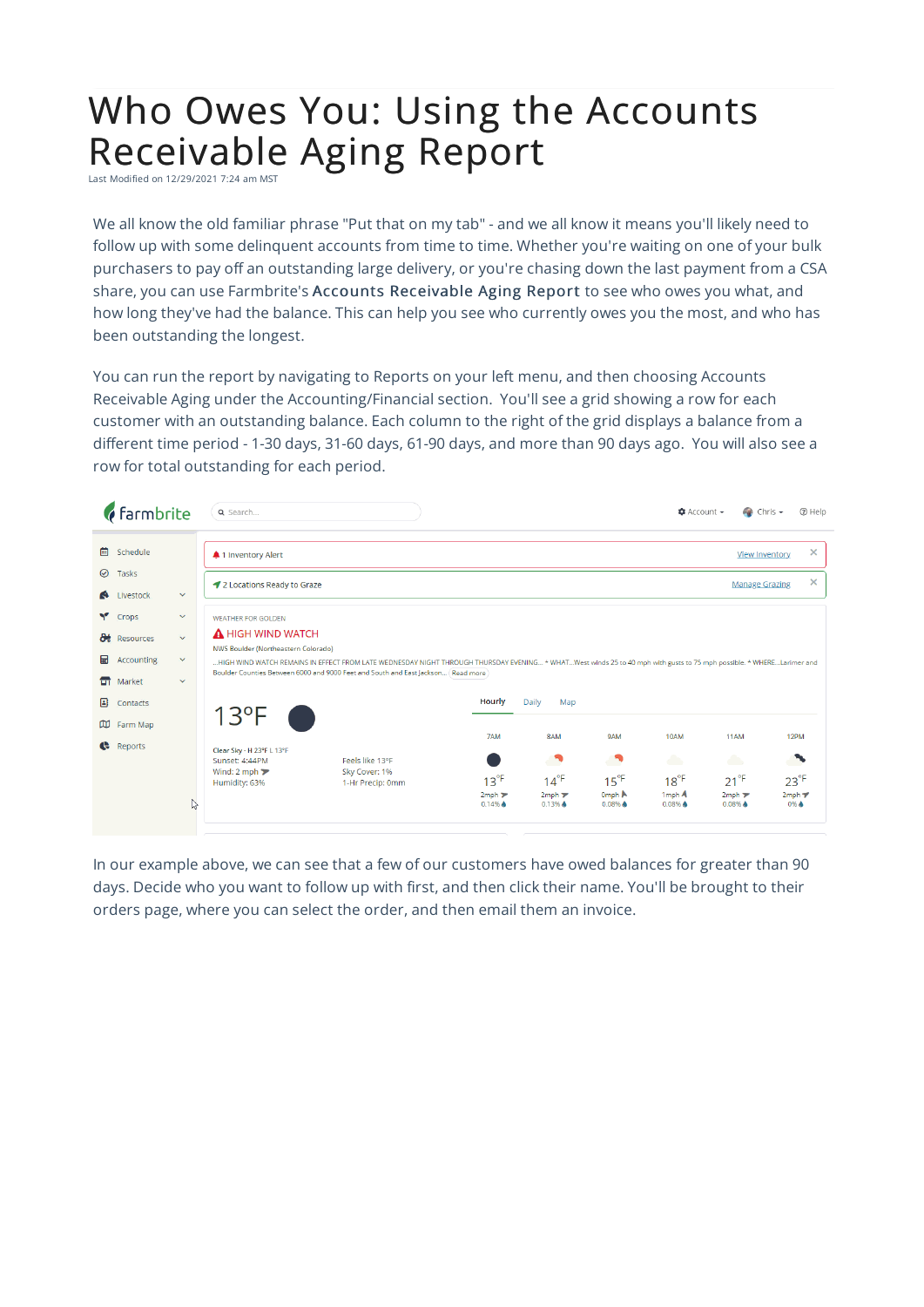## Who Owes You: Using the Accounts Receivable Aging Report

Last Modified on 12/29/2021 7:24 am MST

We all know the old familiar phrase "Put that on my tab" - and we all know it means you'll likely need to follow up with some delinquent accounts from time to time. Whether you're waiting on one of your bulk purchasers to pay off an outstanding large delivery, or you're chasing down the last payment from a CSA share, you can use Farmbrite's Accounts Receivable Aging Report to see who owes you what, and how long they've had the balance. This can help you see who currently owes you the most, and who has been outstanding the longest.

You can run the report by navigating to Reports on your left menu, and then choosing Accounts Receivable Aging under the Accounting/Financial section. You'll see a grid showing a row for each customer with an outstanding balance. Each column to the right of the grid displays a balance from a different time period - 1-30 days, 31-60 days, 61-90 days, and more than 90 days ago. You will also see a row for total outstanding for each period.



In our example above, we can see that a few of our customers have owed balances for greater than 90 days. Decide who you want to follow up with first, and then click their name. You'll be brought to their orders page, where you can select the order, and then email them an invoice.